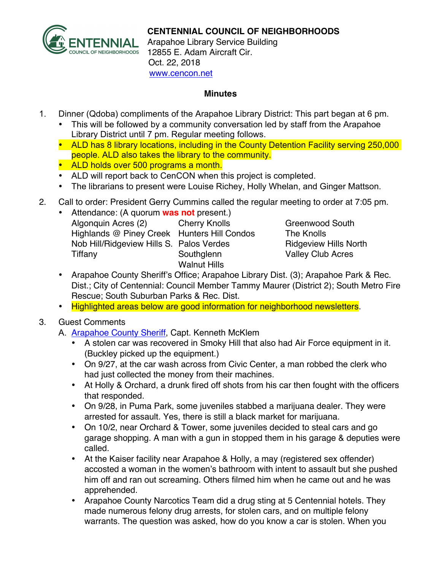

## **CENTENNIAL COUNCIL OF NEIGHBORHOODS**

Arapahoe Library Service Building 12855 E. Adam Aircraft Cir. Oct. 22, 2018 www.cencon.net

## **Minutes**

- 1. Dinner (Qdoba) compliments of the Arapahoe Library District: This part began at 6 pm.
	- This will be followed by a community conversation led by staff from the Arapahoe Library District until 7 pm. Regular meeting follows.
	- ALD has 8 library locations, including in the County Detention Facility serving 250,000 people. ALD also takes the library to the community.
	- **ALD holds over 500 programs a month.**
	- ALD will report back to CenCON when this project is completed.
	- The librarians to present were Louise Richey, Holly Whelan, and Ginger Mattson.
- 2. Call to order: President Gerry Cummins called the regular meeting to order at 7:05 pm.

| $\bullet$ | Attendance: (A quorum was not present.)     |                      |
|-----------|---------------------------------------------|----------------------|
|           | Algonquin Acres (2)                         | <b>Cherry Knolls</b> |
|           | Highlands @ Piney Creek Hunters Hill Condos |                      |
|           | Nob Hill/Ridgeview Hills S. Palos Verdes    |                      |
|           | Tiffany                                     | Southglenn           |
|           |                                             | <b>Walnut Hills</b>  |

Greenwood South The Knolls Ridgeview Hills North Valley Club Acres

- Arapahoe County Sheriff's Office; Arapahoe Library Dist. (3); Arapahoe Park & Rec. Dist.; City of Centennial: Council Member Tammy Maurer (District 2); South Metro Fire Rescue; South Suburban Parks & Rec. Dist.
- Highlighted areas below are good information for neighborhood newsletters.

## 3. Guest Comments

- A. Arapahoe County Sheriff, Capt. Kenneth McKlem
	- A stolen car was recovered in Smoky Hill that also had Air Force equipment in it. (Buckley picked up the equipment.)
	- On 9/27, at the car wash across from Civic Center, a man robbed the clerk who had just collected the money from their machines.
	- At Holly & Orchard, a drunk fired off shots from his car then fought with the officers that responded.
	- On 9/28, in Puma Park, some juveniles stabbed a marijuana dealer. They were arrested for assault. Yes, there is still a black market for marijuana.
	- On 10/2, near Orchard & Tower, some juveniles decided to steal cars and go garage shopping. A man with a gun in stopped them in his garage & deputies were called.
	- At the Kaiser facility near Arapahoe & Holly, a may (registered sex offender) accosted a woman in the women's bathroom with intent to assault but she pushed him off and ran out screaming. Others filmed him when he came out and he was apprehended.
	- Arapahoe County Narcotics Team did a drug sting at 5 Centennial hotels. They made numerous felony drug arrests, for stolen cars, and on multiple felony warrants. The question was asked, how do you know a car is stolen. When you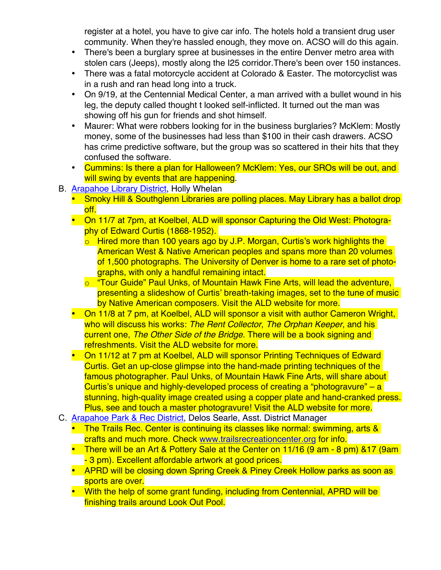register at a hotel, you have to give car info. The hotels hold a transient drug user community. When they're hassled enough, they move on. ACSO will do this again.

- There's been a burglary spree at businesses in the entire Denver metro area with stolen cars (Jeeps), mostly along the I25 corridor.There's been over 150 instances.
- There was a fatal motorcycle accident at Colorado & Easter. The motorcyclist was in a rush and ran head long into a truck.
- On 9/19, at the Centennial Medical Center, a man arrived with a bullet wound in his leg, the deputy called thought t looked self-inflicted. It turned out the man was showing off his gun for friends and shot himself.
- Maurer: What were robbers looking for in the business burglaries? McKlem: Mostly money, some of the businesses had less than \$100 in their cash drawers. ACSO has crime predictive software, but the group was so scattered in their hits that they confused the software.
- Cummins: Is there a plan for Halloween? McKlem: Yes, our SROs will be out, and will swing by events that are happening.
- B. Arapahoe Library District, Holly Whelan
	- Smoky Hill & Southglenn Libraries are polling places. May Library has a ballot drop off.
	- On 11/7 at 7pm, at Koelbel, ALD will sponsor Capturing the Old West: Photography of Edward Curtis (1868-1952).
		- o Hired more than 100 years ago by J.P. Morgan, Curtis's work highlights the American West & Native American peoples and spans more than 20 volumes of 1,500 photographs. The University of Denver is home to a rare set of photographs, with only a handful remaining intact.
		- o "Tour Guide" Paul Unks, of Mountain Hawk Fine Arts, will lead the adventure, presenting a slideshow of Curtis' breath-taking images, set to the tune of music by Native American composers. Visit the ALD website for more.
	- On 11/8 at 7 pm, at Koelbel, ALD will sponsor a visit with author Cameron Wright, who will discuss his works: *The Rent Collector*, *The Orphan Keeper*, and his current one, *The Other Side of the Bridge*. There will be a book signing and refreshments. Visit the ALD website for more.
	- On 11/12 at 7 pm at Koelbel, ALD will sponsor Printing Techniques of Edward Curtis. Get an up-close glimpse into the hand-made printing techniques of the famous photographer. Paul Unks, of Mountain Hawk Fine Arts, will share about Curtis's unique and highly-developed process of creating a "photogravure" – a stunning, high-quality image created using a copper plate and hand-cranked press. Plus, see and touch a master photogravure! Visit the ALD website for more.
- C. Arapahoe Park & Rec District, Delos Searle, Asst. District Manager
	- The Trails Rec. Center is continuing its classes like normal: swimming, arts & crafts and much more. Check www.trailsrecreationcenter.org for info.
	- There will be an Art & Pottery Sale at the Center on 11/16 (9 am 8 pm) & 17 (9 am - 3 pm). Excellent affordable artwork at good prices.
	- APRD will be closing down Spring Creek & Piney Creek Hollow parks as soon as sports are over.
	- With the help of some grant funding, including from Centennial, APRD will be finishing trails around Look Out Pool.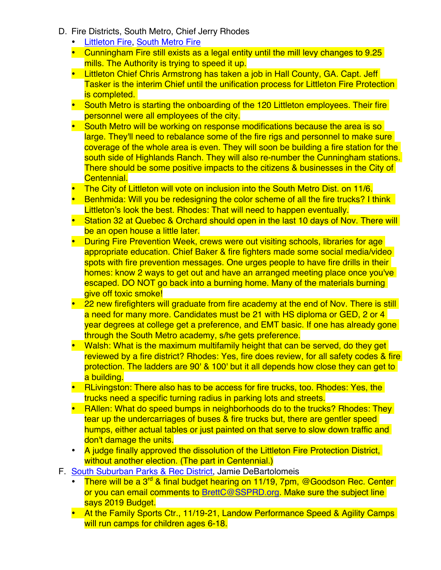- D. Fire Districts, South Metro, Chief Jerry Rhodes
	- Littleton Fire, South Metro Fire
	- Cunningham Fire still exists as a legal entity until the mill levy changes to 9.25 mills. The Authority is trying to speed it up.
	- Littleton Chief Chris Armstrong has taken a job in Hall County, GA. Capt. Jeff Tasker is the interim Chief until the unification process for Littleton Fire Protection is completed.
	- South Metro is starting the onboarding of the 120 Littleton employees. Their fire personnel were all employees of the city.
	- South Metro will be working on response modifications because the area is so large. They'll need to rebalance some of the fire rigs and personnel to make sure coverage of the whole area is even. They will soon be building a fire station for the south side of Highlands Ranch. They will also re-number the Cunningham stations. There should be some positive impacts to the citizens & businesses in the City of Centennial.
	- The City of Littleton will vote on inclusion into the South Metro Dist. on 11/6.
	- Benhmida: Will you be redesigning the color scheme of all the fire trucks? I think Littleton's look the best. Rhodes: That will need to happen eventually.
	- Station 32 at Quebec & Orchard should open in the last 10 days of Nov. There will be an open house a little later.
	- During Fire Prevention Week, crews were out visiting schools, libraries for age appropriate education. Chief Baker & fire fighters made some social media/video spots with fire prevention messages. One urges people to have fire drills in their homes: know 2 ways to get out and have an arranged meeting place once you've escaped. DO NOT go back into a burning home. Many of the materials burning give off toxic smoke!
	- 22 new firefighters will graduate from fire academy at the end of Nov. There is still a need for many more. Candidates must be 21 with HS diploma or GED, 2 or 4 year degrees at college get a preference, and EMT basic. If one has already gone through the South Metro academy, s/he gets preference.
	- Walsh: What is the maximum multifamily height that can be served, do they get reviewed by a fire district? Rhodes: Yes, fire does review, for all safety codes & fire protection. The ladders are 90' & 100' but it all depends how close they can get to a building.
	- RLivingston: There also has to be access for fire trucks, too. Rhodes: Yes, the trucks need a specific turning radius in parking lots and streets.
	- RAllen: What do speed bumps in neighborhoods do to the trucks? Rhodes: They tear up the undercarriages of buses & fire trucks but, there are gentler speed humps, either actual tables or just painted on that serve to slow down traffic and don't damage the units.
	- A judge finally approved the dissolution of the Littleton Fire Protection District, without another election. (The part in Centennial.)
- F. South Suburban Parks & Rec District, Jamie DeBartolomeis
	- There will be a 3<sup>rd</sup> & final budget hearing on 11/19, 7pm, @Goodson Rec. Center or you can email comments to BrettC@SSPRD.org. Make sure the subject line says 2019 Budget.
	- At the Family Sports Ctr., 11/19-21, Landow Performance Speed & Agility Camps will run camps for children ages 6-18.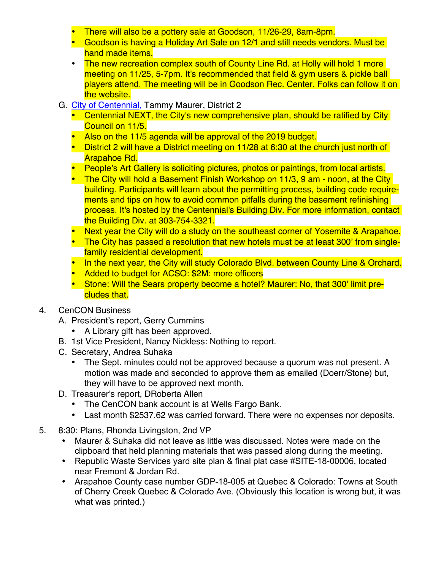- There will also be a pottery sale at Goodson, 11/26-29, 8am-8pm.
- Goodson is having a Holiday Art Sale on 12/1 and still needs vendors. Must be hand made items.
- The new recreation complex south of County Line Rd. at Holly will hold 1 more meeting on 11/25, 5-7pm. It's recommended that field & gym users & pickle ball players attend. The meeting will be in Goodson Rec. Center. Folks can follow it on the website.
- G. City of Centennial, Tammy Maurer, District 2
	- Centennial NEXT, the City's new comprehensive plan, should be ratified by City Council on 11/5.
	- Also on the 11/5 agenda will be approval of the 2019 budget.
	- District 2 will have a District meeting on 11/28 at 6:30 at the church just north of Arapahoe Rd.
	- People's Art Gallery is soliciting pictures, photos or paintings, from local artists.
	- The City will hold a Basement Finish Workshop on 11/3, 9 am noon, at the City building. Participants will learn about the permitting process, building code requirements and tips on how to avoid common pitfalls during the basement refinishing process. It's hosted by the Centennial's Building Div. For more information, contact the Building Div. at 303-754-3321.
	- Next year the City will do a study on the southeast corner of Yosemite & Arapahoe.
	- The City has passed a resolution that new hotels must be at least 300' from singlefamily residential development.
	- In the next year, the City will study Colorado Blvd. between County Line & Orchard.
	- Added to budget for ACSO: \$2M: more officers
	- Stone: Will the Sears property become a hotel? Maurer: No, that 300' limit precludes that.
- 4. CenCON Business
	- A. President's report, Gerry Cummins
		- A Library gift has been approved.
	- B. 1st Vice President, Nancy Nickless: Nothing to report.
	- C. Secretary, Andrea Suhaka
		- The Sept. minutes could not be approved because a quorum was not present. A motion was made and seconded to approve them as emailed (Doerr/Stone) but, they will have to be approved next month.
	- D. Treasurer's report, DRoberta Allen
		- The CenCON bank account is at Wells Fargo Bank.
		- Last month \$2537.62 was carried forward. There were no expenses nor deposits.
- 5. 8:30: Plans, Rhonda Livingston, 2nd VP
	- Maurer & Suhaka did not leave as little was discussed. Notes were made on the clipboard that held planning materials that was passed along during the meeting.
	- Republic Waste Services yard site plan & final plat case #SITE-18-00006, located near Fremont & Jordan Rd.
	- Arapahoe County case number GDP-18-005 at Quebec & Colorado: Towns at South of Cherry Creek Quebec & Colorado Ave. (Obviously this location is wrong but, it was what was printed.)